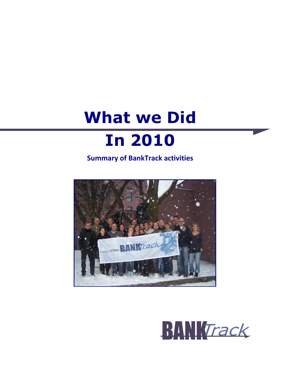# **What we Did In 2010**

**Summary of BankTrack activities** 



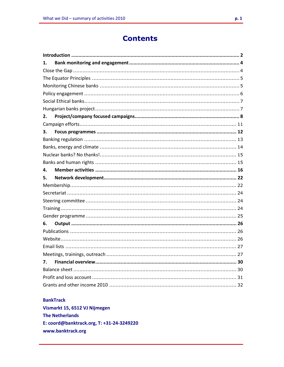# **Contents**

| 1. |  |
|----|--|
|    |  |
|    |  |
|    |  |
|    |  |
|    |  |
|    |  |
| 2. |  |
|    |  |
| 3. |  |
|    |  |
|    |  |
|    |  |
|    |  |
| 4. |  |
| 5. |  |
|    |  |
|    |  |
|    |  |
|    |  |
|    |  |
| 6. |  |
|    |  |
|    |  |
|    |  |
|    |  |
|    |  |
| 7. |  |
|    |  |
|    |  |
|    |  |

## **BankTrack**

Vismarkt 15, 6512 VJ Nijmegen **The Netherlands** E: coord@banktrack.org, T: +31-24-3249220 www.banktrack.org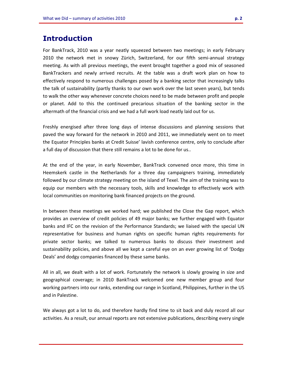# **Introduction**

For BankTrack, 2010 was a year neatly squeezed between two meetings; in early February 2010 the network met in snowy Zürich, Switzerland, for our fifth semi-annual strategy meeting. As with all previous meetings, the event brought together a good mix of seasoned BankTrackers and newly arrived recruits. At the table was a draft work plan on how to effectively respond to numerous challenges posed by a banking sector that increasingly talks the talk of sustainability (partly thanks to our own work over the last seven years), but tends to walk the other way whenever concrete choices need to be made between profit and people or planet. Add to this the continued precarious situation of the banking sector in the aftermath of the financial crisis and we had a full work load neatly laid out for us.

Freshly energised after three long days of intense discussions and planning sessions that paved the way forward for the network in 2010 and 2011, we immediately went on to meet the Equator Principles banks at Credit Suisse' lavish conference centre, only to conclude after a full day of discussion that there still remains a lot to be done for us..

At the end of the year, in early November, BankTrack convened once more, this time in Heemskerk castle in the Netherlands for a three day campaigners training, immediately followed by our climate strategy meeting on the island of Texel. The aim of the training was to equip our members with the necessary tools, skills and knowledge to effectively work with local communities on monitoring bank financed projects on the ground.

In between these meetings we worked hard; we published the Close the Gap report, which provides an overview of credit policies of 49 major banks; we further engaged with Equator banks and IFC on the revision of the Performance Standards; we liaised with the special UN representative for business and human rights on specific human rights requirements for private sector banks; we talked to numerous banks to discuss their investment and sustainability policies, and above all we kept a careful eye on an ever growing list of 'Dodgy Deals' and dodgy companies financed by these same banks.

All in all, we dealt with a lot of work. Fortunately the network is slowly growing in size and geographical coverage; in 2010 BankTrack welcomed one new member group and four working partners into our ranks, extending our range in Scotland, Philippines, further in the US and in Palestine.

We always got a lot to do, and therefore hardly find time to sit back and duly record all our activities. As a result, our annual reports are not extensive publications, describing every single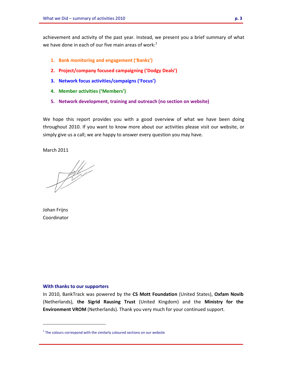achievement and activity of the past year. Instead, we present you a brief summary of what we have done in each of our five main areas of work:<sup>1</sup>

- **1. Bank monitoring and engagement ('Banks')**
- **2. Project/company focused campaigning ('Dodgy Deals')**
- **3. Network focus activities/campaigns ('Focus')**
- **4. Member activities ('Members')**
- **5. Network development, training and outreach (no section on website)**

We hope this report provides you with a good overview of what we have been doing throughout 2010. If you want to know more about our activities please visit our website, or simply give us a call; we are happy to answer every question you may have.

March 2011

 $\frac{1}{\sqrt{2\pi}}\int d^3k\left( \frac{1}{\sqrt{2\pi}}\right) \frac{dk}{2\sqrt{2\pi}}d^3k$ 

Johan Frijns Coordinator

l.

#### **With thanks to our supporters**

In 2010, BankTrack was powered by the **CS Mott Foundation** (United States), **Oxfam Novib**  (Netherlands), **the Sigrid Rausing Trust** (United Kingdom) and the **Ministry for the Environment VROM** (Netherlands). Thank you very much for your continued support.

 $1$  The colours correspond with the similarly coloured sections on our website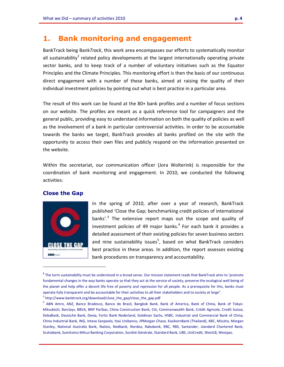# **1. Bank monitoring and engagement**

BankTrack being Bank*Track*, this work area encompasses our efforts to systematically monitor all sustainability<sup>2</sup> related policy developments at the largest internationally operating private sector banks, and to keep track of a number of voluntary initiatives such as the Equator Principles and the Climate Principles. This monitoring effort is then the basis of our continuous direct engagement with a number of these banks, aimed at raising the quality of their individual investment policies by pointing out what is best practice in a particular area.

The result of this work can be found at the 80+ bank profiles and a number of focus sections on our website. The profiles are meant as a quick reference tool for campaigners and the general public, providing easy to understand information on both the quality of policies as well as the involvement of a bank in particular controversial activities. In order to be accountable towards the banks we target, BankTrack provides all banks profiled on the site with the opportunity to access their own files and publicly respond on the information presented on the website.

Within the secretariat, our communication officer (Jora Wolterink) is responsible for the coordination of bank monitoring and engagement. In 2010, we conducted the following activities:

## **Close the Gap**



i<br>I

In the spring of 2010, after over a year of research, BankTrack published 'Close the Gap; benchmarking credit policies of international banks'.<sup>3</sup> The extensive report maps out the scope and quality of investment policies of 49 major banks. $4$  For each bank it provides a detailed assessment of their existing policies for seven business sectors and nine sustainability issues<sup>5</sup>, based on what BankTrack considers best practice in these areas. In addition, the report assesses existing bank procedures on transparency and accountability.

**<sup>2</sup>** The term sustainability must be understood in a broad sense. Our mission statement reads that BankTrack aims to 'promote fundamental changes in the way banks operate so that they act at the service of society, preserve the ecological well being of the planet and help offer a decent life free of poverty and repression for all people. As a prerequisite for this, banks must operate fully transparent and be accountable for their activities to all their stakeholders and to society at large". <sup>3</sup> http://www.banktrack.org/download/close\_the\_gap/close\_the\_gap.pdf

<sup>&</sup>lt;sup>4</sup> ABN Amro, ANZ, Banco Bradesco, Banco do Brasil, Bangkok Bank, Bank of America, Bank of China, Bank of Tokyo-Mitsubishi, Barclays, BBVA, BNP Paribas, China Construction Bank, Citi, Commonwealth Bank, Crédit Agricole, Credit Suisse, DekaBank, Deutsche Bank, Dexia, Fortis Bank Nederland, Goldman Sachs, HSBC, Industrial and Commercial Bank of China, China Industrial Bank, ING, Intesa Sanpaolo, Itaú Unibanco, JPMorgan Chase, KasikornBank (Thailand), KBC, Mizuho, Morgan Stanley, National Australia Bank, Natixis, Nedbank, Nordea, Rabobank, RBC, RBS, Santander, standard Chartered Bank, Scotiabank, Sumitomo Mitsui Banking Corporation, Société Générale, Standard Bank, UBS, UniCredit, WestLB, Westpac.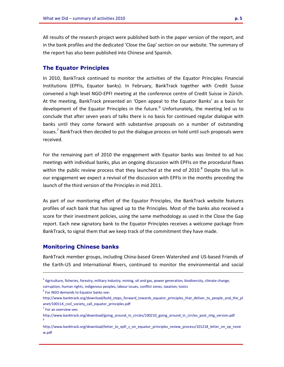All results of the research project were published both in the paper version of the report, and in the bank profiles and the dedicated 'Close the Gap' section on our website. The summary of the report has also been published into Chinese and Spanish.

#### **The Equator Principles**

In 2010, BankTrack continued to monitor the activities of the Equator Principles Financial Institutions (EPFIs, Equator banks). In February, BankTrack together with Credit Suisse convened a high level NGO-EPFI meeting at the conference centre of Credit Suisse in Zürich. At the meeting, BankTrack presented an 'Open appeal to the Equator Banks' as a basis for development of the Equator Principles in the future.<sup>6</sup> Unfortunately, the meeting led us to conclude that after seven years of talks there is no basis for continued regular dialogue with banks until they come forward with substantive proposals on a number of outstanding issues.<sup>7</sup> BankTrack then decided to put the dialogue process on hold until such proposals were received.

For the remaining part of 2010 the engagement with Equator banks was limited to ad hoc meetings with individual banks, plus an ongoing discussion with EPFIs on the procedural flaws within the public review process that they launched at the end of 2010. $8$  Despite this lull in our engagement we expect a revival of the discussion with EPFIs in the months preceding the launch of the third version of the Principles in mid 2011.

As part of our monitoring effort of the Equator Principles, the BankTrack website features profiles of each bank that has signed up to the Principles. Most of the banks also received a score for their investment policies, using the same methodology as used in the Close the Gap report. Each new signatory bank to the Equator Principles receives a welcome package from BankTrack, to signal them that we keep track of the commitment they have made.

## **Monitoring Chinese banks**

BankTrack member groups, including China-based Green Watershed and US-based Friends of the Earth-US and International Rivers, continued to monitor the environmental and social

 $7$  For an overview see:

i<br>I

<sup>&</sup>lt;sup>5</sup> Agriculture, fisheries, forestry, military industry, mining, oil and gas, power generation, biodiversity, climate change, corruption, human rights, indigenous peoples, labour issues, conflict zones, taxation, toxics

 $<sup>6</sup>$  For NGO demands to Equator banks see:</sup>

http://www.banktrack.org/download/bold\_steps\_forward\_towards\_equator\_principles\_that\_deliver\_to\_people\_and\_the\_pl anet/100114\_civil\_society\_call\_equator\_principles.pdf

http://www.banktrack.org/download/going\_around\_in\_circles/100210\_going\_around\_in\_circles\_post\_mtg\_version.pdf 8

http://www.banktrack.org/download/letter\_to\_epfi\_s\_on\_equator\_principles\_review\_process/101218\_letter\_on\_ep\_revie w.pdf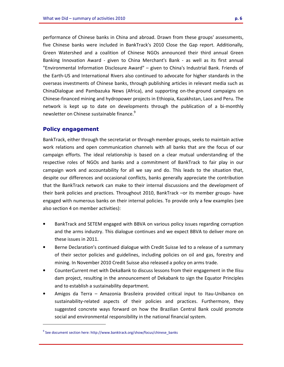performance of Chinese banks in China and abroad. Drawn from these groups' assessments, five Chinese banks were included in BankTrack's 2010 Close the Gap report. Additionally, Green Watershed and a coalition of Chinese NGOs announced their third annual Green Banking Innovation Award - given to China Merchant's Bank - as well as its first annual "Environmental Information Disclosure Award" – given to China's Industrial Bank. Friends of the Earth-US and International Rivers also continued to advocate for higher standards in the overseas investments of Chinese banks, through publishing articles in relevant media such as ChinaDialogue and Pambazuka News (Africa), and supporting on-the-ground campaigns on Chinese-financed mining and hydropower projects in Ethiopia, Kazakhstan, Laos and Peru. The network is kept up to date on developments through the publication of a bi-monthly newsletter on Chinese sustainable finance.<sup>9</sup>

## **Policy engagement**

l.

BankTrack, either through the secretariat or through member groups, seeks to maintain active work relations and open communication channels with all banks that are the focus of our campaign efforts. The ideal relationship is based on a clear mutual understanding of the respective roles of NGOs and banks and a commitment of BankTrack to fair play in our campaign work and accountability for all we say and do. This leads to the situation that, despite our differences and occasional conflicts, banks generally appreciate the contribution that the BankTrack network can make to their internal discussions and the development of their bank policies and practices. Throughout 2010, BankTrack –or its member groups- have engaged with numerous banks on their internal policies. To provide only a few examples (see also section 4 on member activities):

- BankTrack and SETEM engaged with BBVA on various policy issues regarding corruption and the arms industry. This dialogue continues and we expect BBVA to deliver more on these issues in 2011.
- Berne Declaration's continued dialogue with Credit Suisse led to a release of a summary of their sector policies and guidelines, including policies on oil and gas, forestry and mining. In November 2010 Credit Suisse also released a policy on arms trade.
- CounterCurrent met with DekaBank to discuss lessons from their engagement in the Ilisu dam project, resulting in the announcement of Dekabank to sign the Equator Principles and to establish a sustainability department.
- Amigos da Terra Amazonia Brasileira provided critical input to Itau-Unibanco on sustainability-related aspects of their policies and practices. Furthermore, they suggested concrete ways forward on how the Brazilian Central Bank could promote social and environmental responsibility in the national financial system.

<sup>&</sup>lt;sup>9</sup> See document section here: http://www.banktrack.org/show/focus/chinese\_banks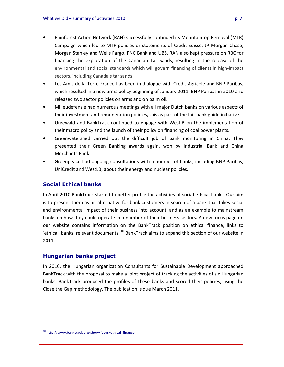- Rainforest Action Network (RAN) successfully continued its Mountaintop Removal (MTR) Campaign which led to MTR-policies or statements of Credit Suisse, JP Morgan Chase, Morgan Stanley and Wells Fargo, PNC Bank and UBS. RAN also kept pressure on RBC for financing the exploration of the Canadian Tar Sands, resulting in the release of the environmental and social standards which will govern financing of clients in high-impact sectors, including Canada's tar sands.
- Les Amis de la Terre France has been in dialogue with Crédit Agricole and BNP Paribas, which resulted in a new arms policy beginning of January 2011. BNP Paribas in 2010 also released two sector policies on arms and on palm oil.
- Milieudefensie had numerous meetings with all major Dutch banks on various aspects of their investment and remuneration policies, this as part of the fair bank guide initiative.
- Urgewald and BankTrack continued to engage with WestlB on the implementation of their macro policy and the launch of their policy on financing of coal power plants.
- Greenwatershed carried out the difficult job of bank monitoring in China. They presented their Green Banking awards again, won by Industrial Bank and China Merchants Bank.
- Greenpeace had ongoing consultations with a number of banks, including BNP Paribas, UniCredit and WestLB, about their energy and nuclear policies.

## **Social Ethical banks**

In April 2010 BankTrack started to better profile the activities of social ethical banks. Our aim is to present them as an alternative for bank customers in search of a bank that takes social and environmental impact of their business into account, and as an example to mainstream banks on how they could operate in a number of their business sectors. A new focus page on our website contains information on the BankTrack position on ethical finance, links to 'ethical' banks, relevant documents.<sup>10</sup> BankTrack aims to expand this section of our website in 2011.

## **Hungarian banks project**

In 2010, the Hungarian organization Consultants for Sustainable Development approached BankTrack with the proposal to make a joint project of tracking the activities of six Hungarian banks. BankTrack produced the profiles of these banks and scored their policies, using the Close the Gap methodology. The publication is due March 2011.

<sup>&</sup>lt;sup>10</sup> http://www.banktrack.org/show/focus/ethical\_finance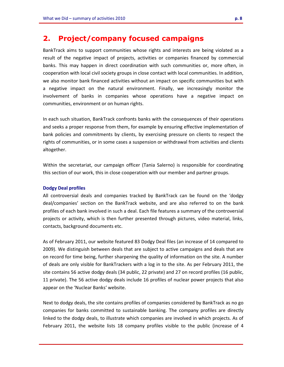# **2. Project/company focused campaigns**

BankTrack aims to support communities whose rights and interests are being violated as a result of the negative impact of projects, activities or companies financed by commercial banks. This may happen in direct coordination with such communities or, more often, in cooperation with local civil society groups in close contact with local communities. In addition, we also monitor bank financed activities without an impact on specific communities but with a negative impact on the natural environment. Finally, we increasingly monitor the involvement of banks in companies whose operations have a negative impact on communities, environment or on human rights.

In each such situation, BankTrack confronts banks with the consequences of their operations and seeks a proper response from them, for example by ensuring effective implementation of bank policies and commitments by clients, by exercising pressure on clients to respect the rights of communities, or in some cases a suspension or withdrawal from activities and clients altogether.

Within the secretariat, our campaign officer (Tania Salerno) is responsible for coordinating this section of our work, this in close cooperation with our member and partner groups.

## **Dodgy Deal profiles**

All controversial deals and companies tracked by BankTrack can be found on the 'dodgy deal/companies' section on the BankTrack website, and are also referred to on the bank profiles of each bank involved in such a deal. Each file features a summary of the controversial projects or activity, which is then further presented through pictures, video material, links, contacts, background documents etc.

As of February 2011, our website featured 83 Dodgy Deal files (an increase of 14 compared to 2009). We distinguish between deals that are subject to active campaigns and deals that are on record for time being, further sharpening the quality of information on the site. A number of deals are only visible for BankTrackers with a log in to the site. As per February 2011, the site contains 56 active dodgy deals (34 public, 22 private) and 27 on record profiles (16 public, 11 private). The 56 active dodgy deals include 16 profiles of nuclear power projects that also appear on the 'Nuclear Banks' website.

Next to dodgy deals, the site contains profiles of companies considered by BankTrack as no go companies for banks committed to sustainable banking. The company profiles are directly linked to the dodgy deals, to illustrate which companies are involved in which projects. As of February 2011, the website lists 18 company profiles visible to the public (increase of 4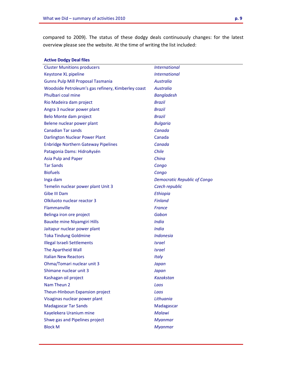compared to 2009). The status of these dodgy deals continuously changes: for the latest overview please see the website. At the time of writing the list included:

| <b>Active Dodgy Deal files</b>                     |                                     |
|----------------------------------------------------|-------------------------------------|
| <b>Cluster Munitions producers</b>                 | <b>International</b>                |
| Keystone XL pipeline                               | <i><u><b>International</b></u></i>  |
| <b>Gunns Pulp Mill Proposal Tasmania</b>           | <b>Australia</b>                    |
| Woodside Petroleum's gas refinery, Kimberley coast | <b>Australia</b>                    |
| Phulbari coal mine                                 | <b>Bangladesh</b>                   |
| Rio Madeira dam project                            | <b>Brazil</b>                       |
| Angra 3 nuclear power plant                        | <b>Brazil</b>                       |
| Belo Monte dam project                             | <b>Brazil</b>                       |
| Belene nuclear power plant                         | <b>Bulgaria</b>                     |
| <b>Canadian Tar sands</b>                          | Canada                              |
| <b>Darlington Nuclear Power Plant</b>              | Canada                              |
| <b>Enbridge Northern Gateway Pipelines</b>         | Canada                              |
| Patagonia Dams: HidroAysén                         | Chile                               |
| Asia Pulp and Paper                                | China                               |
| <b>Tar Sands</b>                                   | Congo                               |
| <b>Biofuels</b>                                    | Congo                               |
| Inga dam                                           | <b>Democratic Republic of Congo</b> |
| Temelin nuclear power plant Unit 3                 | Czech republic                      |
| Gibe III Dam                                       | Ethiopia                            |
| Olkiluoto nuclear reactor 3                        | <b>Finland</b>                      |
| Flammanville                                       | <b>France</b>                       |
| Belinga iron ore project                           | Gabon                               |
| <b>Bauxite mine Niyamgiri Hills</b>                | <b>India</b>                        |
| Jaitapur nuclear power plant                       | <b>India</b>                        |
| <b>Toka Tindung Goldmine</b>                       | <b>Indonesia</b>                    |
| <b>Illegal Israeli Settlements</b>                 | <i><u><b>Israel</b></u></i>         |
| The Apartheid Wall                                 | <i><u><b>Israel</b></u></i>         |
| <b>Italian New Reactors</b>                        | <b>Italy</b>                        |
| Ohma/Tomari nuclear unit 3                         | Japan                               |
| Shimane nuclear unit 3                             | Japan                               |
| Kashagan oil project                               | <b>Kazakstan</b>                    |
| Nam Theun 2                                        | Laos                                |
| Theun-Hinboun Expansion project                    | Laos                                |
| Visaginas nuclear power plant                      | Lithuania                           |
| <b>Madagascar Tar Sands</b>                        | Madagascar                          |
| Kayelekera Uranium mine                            | <b>Malawi</b>                       |
| Shwe gas and Pipelines project                     | <b>Myanmar</b>                      |
| <b>Block M</b>                                     | <b>Myanmar</b>                      |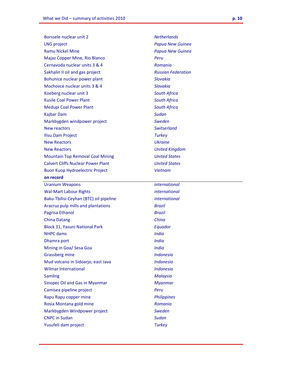| Borssele nuclear unit 2                   | <b>Netherlands</b>        |
|-------------------------------------------|---------------------------|
| <b>LNG project</b>                        | Papua New Guinea          |
| <b>Ramu Nickel Mine</b>                   | Papua New Guinea          |
| Majaz Copper Mine, Rio Blanco             | Peru                      |
| Cernavoda nuclear units 3 & 4             | Romania                   |
| Sakhalin II oil and gas project           | <b>Russian Federation</b> |
| Bohunice nuclear power plant              | <b>Slovakia</b>           |
| Mochovce nuclear units 3 & 4              | <b>Slovakia</b>           |
| Koeberg nuclear unit 3                    | <b>South Africa</b>       |
| <b>Kusile Coal Power Plant</b>            | <b>South Africa</b>       |
| <b>Medupi Coal Power Plant</b>            | <b>South Africa</b>       |
| Kajbar Dam                                | <b>Sudan</b>              |
| Markbygden windpower project              | <b>Sweden</b>             |
| New reactors                              | <b>Switserland</b>        |
| Ilisu Dam Project                         | <b>Turkey</b>             |
| <b>New Reactors</b>                       | <b>Ukraine</b>            |
| <b>New Reactors</b>                       | <b>United Kingdom</b>     |
| <b>Mountain Top Removal Coal Mining</b>   | <b>United States</b>      |
| <b>Calvert Cliffs Nuclear Power Plant</b> | <b>United States</b>      |
| <b>Buon Kuop Hydroelectric Project</b>    | <b>Vietnam</b>            |
| on record                                 |                           |
| <b>Uranium Weapons</b>                    | <i>international</i>      |
|                                           |                           |
| <b>Wal-Mart Labour Rights</b>             | <i>international</i>      |
| Baku-Tbilisi-Ceyhan (BTC) oil pipeline    | <i>international</i>      |
| Aracruz pulp mills and plantations        | Brazil                    |
| Pagrisa Ethanol                           | Brazil                    |
| <b>China Datang</b>                       | China                     |
| <b>Block 31, Yasuni National Park</b>     | Equador                   |
| <b>NHPC</b> dams                          | <b>India</b>              |
| Dhamra port                               | <b>India</b>              |
| Mining in Goa/ Sesa Goa                   | <b>India</b>              |
| <b>Grassberg mine</b>                     | <b>Indonesia</b>          |
| Mud volcano in Sidoarjo, east Java        | <b>Indonesia</b>          |
| <b>Wilmar International</b>               | <b>Indonesia</b>          |
| <b>Samling</b>                            | <b>Malaysia</b>           |
| Sinopec Oil and Gas in Myanmar            | <b>Myanmar</b>            |
| Camisea pipeline project                  | Peru                      |
| Rapu Rapu copper mine                     | <b>Philippines</b>        |
| Rosia Montana gold mine                   | Romania                   |
| Markbygden Windpower project              | <b>Sweden</b>             |
| <b>CNPC</b> in Sudan                      | <b>Sudan</b>              |
| Yusufeli dam project                      | <b>Turkey</b>             |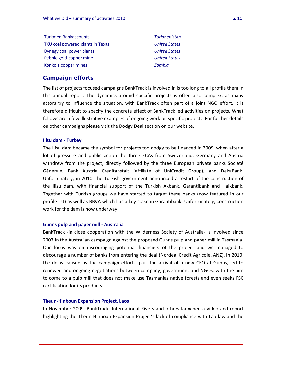| <b>Turkmen Bankaccounts</b>      | <b>Turkmenistan</b>  |
|----------------------------------|----------------------|
| TXU coal powered plants in Texas | <b>United States</b> |
| Dynegy coal power plants         | <b>United States</b> |
| Pebble gold-copper mine          | <b>United States</b> |
| Konkola copper mines             | Zambia               |

## **Campaign efforts**

The list of projects focused campaigns BankTrack is involved in is too long to all profile them in this annual report. The dynamics around specific projects is often also complex, as many actors try to influence the situation, with BankTrack often part of a joint NGO effort. It is therefore difficult to specify the concrete effect of BankTrack led activities on projects. What follows are a few illustrative examples of ongoing work on specific projects. For further details on other campaigns please visit the Dodgy Deal section on our website.

#### **Ilisu dam - Turkey**

The Ilisu dam became the symbol for projects too dodgy to be financed in 2009, when after a lot of pressure and public action the three ECAs from Switzerland, Germany and Austria withdrew from the project, directly followed by the three European private banks Société Générale, Bank Austria Creditanstalt (affiliate of UniCredit Group), and DekaBank. Unfortunately, in 2010, the Turkish government announced a restart of the construction of the Ilisu dam, with financial support of the Turkish Akbank, Garantibank and Halkbank. Together with Turkish groups we have started to target these banks (now featured in our profile list) as well as BBVA which has a key stake in Garantibank. Unfortunately, construction work for the dam is now underway.

#### **Gunns pulp and paper mill - Australia**

BankTrack -in close cooperation with the Wilderness Society of Australia- is involved since 2007 in the Australian campaign against the proposed Gunns pulp and paper mill in Tasmania. Our focus was on discouraging potential financiers of the project and we managed to discourage a number of banks from entering the deal (Nordea, Credit Agricole, ANZ). In 2010, the delay caused by the campaign efforts, plus the arrival of a new CEO at Gunns, led to renewed and ongoing negotiations between company, government and NGOs, with the aim to come to a pulp mill that does not make use Tasmanias native forests and even seeks FSC certification for its products.

#### **Theun-Hinboun Expansion Project, Laos**

In November 2009, BankTrack, International Rivers and others launched a video and report highlighting the Theun-Hinboun Expansion Project's lack of compliance with Lao law and the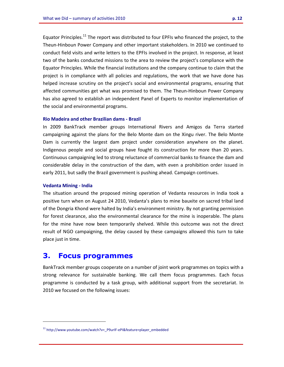Equator Principles.<sup>11</sup> The report was distributed to four EPFIs who financed the project, to the Theun-Hinboun Power Company and other important stakeholders. In 2010 we continued to conduct field visits and write letters to the EPFIs involved in the project. In response, at least two of the banks conducted missions to the area to review the project's compliance with the Equator Principles. While the financial institutions and the company continue to claim that the project is in compliance with all policies and regulations, the work that we have done has helped increase scrutiny on the project's social and environmental programs, ensuring that affected communities get what was promised to them. The Theun-Hinboun Power Company has also agreed to establish an independent Panel of Experts to monitor implementation of the social and environmental programs.

#### **Rio Madeira and other Brazilian dams - Brazil**

In 2009 BankTrack member groups International Rivers and Amigos da Terra started campaigning against the plans for the Belo Monte dam on the Xingu river. The Belo Monte Dam is currently the largest dam project under consideration anywhere on the planet. Indigenous people and social groups have fought its construction for more than 20 years. Continuous campaigning led to strong reluctance of commercial banks to finance the dam and considerable delay in the construction of the dam, with even a prohibition order issued in early 2011, but sadly the Brazil government is pushing ahead. Campaign continues.

#### **Vedanta Mining - India**

l.

The situation around the proposed mining operation of Vedanta resources in India took a positive turn when on August 24 2010, Vedanta's plans to mine bauxite on sacred tribal land of the Dongria Khond were halted by India's environment ministry. By not granting permission for forest clearance, also the environmental clearance for the mine is inoperable. The plans for the mine have now been temporarily shelved. While this outcome was not the direct result of NGO campaigning, the delay caused by these campaigns allowed this turn to take place just in time.

# **3. Focus programmes**

BankTrack member groups cooperate on a number of joint work programmes on topics with a strong relevance for sustainable banking. We call them focus programmes. Each focus programme is conducted by a task group, with additional support from the secretariat. In 2010 we focused on the following issues:

<sup>&</sup>lt;sup>11</sup> http://www.youtube.com/watch?v=\_P9urIF-ePI&feature=player\_embedded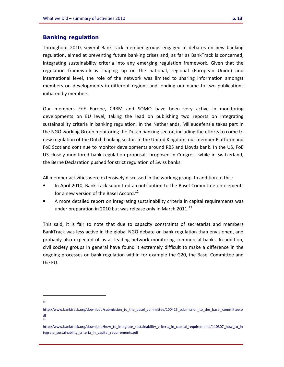## **Banking regulation**

Throughout 2010, several BankTrack member groups engaged in debates on new banking regulation, aimed at preventing future banking crises and, as far as BankTrack is concerned, integrating sustainability criteria into any emerging regulation framework. Given that the regulation framework is shaping up on the national, regional (European Union) and international level, the role of the network was limited to sharing information amongst members on developments in different regions and lending our name to two publications initiated by members.

Our members FoE Europe, CRBM and SOMO have been very active in monitoring developments on EU level, taking the lead on publishing two reports on integrating sustainability criteria in banking regulation. In the Netherlands, Milieudefensie takes part in the NGO working Group monitoring the Dutch banking sector, including the efforts to come to new regulation of the Dutch banking sector. In the United Kingdom, our member Platform and FoE Scotland continue to monitor developments around RBS and Lloyds bank. In the US, FoE US closely monitored bank regulation proposals proposed in Congress while in Switzerland, the Berne Declaration pushed for strict regulation of Swiss banks.

All member activities were extensively discussed in the working group. In addition to this:

- In April 2010, BankTrack submitted a contribution to the Basel Committee on elements for a new version of the Basel Accord.<sup>12</sup>
- A more detailed report on integrating sustainability criteria in capital requirements was under preparation in 2010 but was release only in March 2011.<sup>13</sup>

This said, it is fair to note that due to capacity constraints of secretariat and members BankTrack was less active in the global NGO debate on bank regulation than envisioned, and probably also expected of us as leading network monitoring commercial banks. In addition, civil society groups in general have found it extremely difficult to make a difference in the ongoing processes on bank regulation within for example the G20, the Basel Committee and the EU.

i<br>I 12

13

http://www.banktrack.org/download/submission\_to\_the\_basel\_committee/100415\_submission\_to\_the\_basel\_committee.p df

http://www.banktrack.org/download/how\_to\_integrate\_sustainability\_criteria\_in\_capital\_requirements/110307\_how\_to\_in tegrate\_sustainability\_criteria\_in\_capital\_requirements.pdf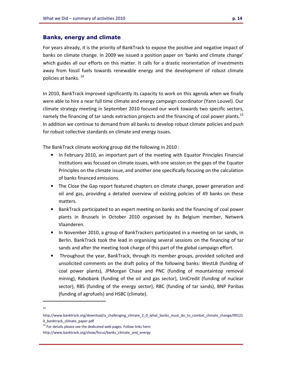## **Banks, energy and climate**

For years already, it is the priority of BankTrack to expose the positive and negative impact of banks on climate change. In 2009 we issued a position paper on 'banks and climate change' which guides all our efforts on this matter. It calls for a drastic reorientation of investments away from fossil fuels towards renewable energy and the development of robust climate policies at banks. <sup>14</sup>

In 2010, BankTrack improved significantly its capacity to work on this agenda when we finally were able to hire a near full time climate and energy campaign coordinator (Yann Louvel). Our climate strategy meeting in September 2010 focused our work towards two specific sectors, namely the financing of tar sands extraction projects and the financing of coal power plants.<sup>15</sup> In addition we continue to demand from all banks to develop robust climate policies and push for robust collective standards on climate and energy issues.

The BankTrack climate working group did the following in 2010 :

- In February 2010, an important part of the meeting with Equator Principles Financial Institutions was focused on climate issues, with one session on the gaps of the Equator Principles on the climate issue, and another one specifically focusing on the calculation of banks financed emissions.
- The Close the Gap report featured chapters on climate change, power generation and oil and gas, providing a detailed overview of existing policies of 49 banks on these matters.
- BankTrack participated to an expert meeting on banks and the financing of coal power plants in Brussels in October 2010 organised by its Belgium member, Netwerk Vlaanderen.
- In November 2010, a group of BankTrackers participated in a meeting on tar sands, in Berlin. BankTrack took the lead in organising several sessions on the financing of tar sands and after the meeting took charge of this part of the global campaign effort.
- Throughout the year, BankTrack, through its member groups, provided solicited and unsolicited comments on the draft policy of the following banks: WestLB (funding of coal power plants), JPMorgan Chase and PNC (funding of mountaintop removal mining), Rabobank (funding of the oil and gas sector), UniCredit (funding of nuclear sector), RBS (funding of the energy sector), RBC (funding of tar sands), BNP Paribas (funding of agrofuels) and HSBC (climate).

i<br>I 14

http://www.banktrack.org/download/a\_challenging\_climate\_2\_0\_what\_banks\_must\_do\_to\_combat\_climate\_change/09121 0\_banktrack\_climate\_paper.pdf

<sup>&</sup>lt;sup>15</sup> For details please see the dedicated web pages. Follow links here:

http://www.banktrack.org/show/focus/banks\_climate\_and\_energy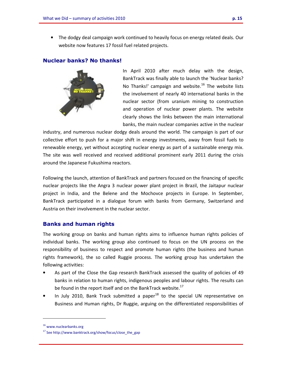• The dodgy deal campaign work continued to heavily focus on energy related deals. Our website now features 17 fossil fuel related projects.

# **Nuclear banks? No thanks!**



In April 2010 after much delay with the design, BankTrack was finally able to launch the 'Nuclear banks? No Thanks!' campaign and website. $16$  The website lists the involvement of nearly 40 international banks in the nuclear sector (from uranium mining to construction and operation of nuclear power plants. The website clearly shows the links between the main international banks, the main nuclear companies active in the nuclear

industry, and numerous nuclear dodgy deals around the world. The campaign is part of our collective effort to push for a major shift in energy investments, away from fossil fuels to renewable energy, yet without accepting nuclear energy as part of a sustainable energy mix. The site was well received and received additional prominent early 2011 during the crisis around the Japanese Fukushima reactors.

Following the launch, attention of BankTrack and partners focused on the financing of specific nuclear projects like the Angra 3 nuclear power plant project in Brazil, the Jaitapur nuclear project in India, and the Belene and the Mochovce projects in Europe. In September, BankTrack participated in a dialogue forum with banks from Germany, Switzerland and Austria on their involvement in the nuclear sector.

# **Banks and human rights**

The working group on banks and human rights aims to influence human rights policies of individual banks. The working group also continued to focus on the UN process on the responsibility of business to respect and promote human rights (the business and human rights framework), the so called Ruggie process. The working group has undertaken the following activities:

- As part of the Close the Gap research BankTrack assessed the quality of policies of 49 banks in relation to human rights, indigenous peoples and labour rights. The results can be found in the report itself and on the BankTrack website.<sup>17</sup>
- In July 2010, Bank Track submitted a paper $18$  to the special UN representative on Business and Human rights, Dr Ruggie, arguing on the differentiated responsibilities of

<sup>16</sup> www.nuclearbanks.org

 $17$  See http://www.banktrack.org/show/focus/close\_the\_gap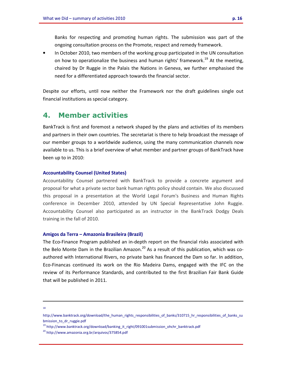Banks for respecting and promoting human rights. The submission was part of the ongoing consultation process on the Promote, respect and remedy framework.

• In October 2010, two members of the working group participated in the UN consultation on how to operationalize the business and human rights' framework.<sup>19</sup> At the meeting, chaired by Dr Ruggie in the Palais the Nations in Geneva, we further emphasised the need for a differentiated approach towards the financial sector.

Despite our efforts, until now neither the Framework nor the draft guidelines single out financial institutions as special category.

# **4. Member activities**

BankTrack is first and foremost a network shaped by the plans and activities of its members and partners in their own countries. The secretariat is there to help broadcast the message of our member groups to a worldwide audience, using the many communication channels now available to us. This is a brief overview of what member and partner groups of BankTrack have been up to in 2010:

#### **Accountability Counsel (United States)**

Accountability Counsel partnered with BankTrack to provide a concrete argument and proposal for what a private sector bank human rights policy should contain. We also discussed this proposal in a presentation at the World Legal Forum's Business and Human Rights conference in December 2010, attended by UN Special Representative John Ruggie. Accountability Counsel also participated as an instructor in the BankTrack Dodgy Deals training in the fall of 2010.

#### **Amigos da Terra – Amazonia Brasileira (Brazil)**

The Eco-Finance Program published an in-depth report on the financial risks associated with the Belo Monte Dam in the Brazilian Amazon.<sup>20</sup> As a result of this publication, which was coauthored with International Rivers, no private bank has financed the Dam so far. In addition, Eco-Financas continued its work on the Rio Madeira Dams, engaged with the IFC on the review of its Performance Standards, and contributed to the first Brazilian Fair Bank Guide that will be published in 2011.

i<br>I 18

<sup>19</sup> http://www.banktrack.org/download/banking\_it\_right/091001submission\_ohchr\_banktrack.pdf

http://www.banktrack.org/download/the\_human\_rights\_responsibilities\_of\_banks/310715\_hr\_responsibilities\_of\_banks\_su bmission\_to\_dr\_ruggie.pdf

<sup>20</sup> http://www.amazonia.org.br/arquivos/375854.pdf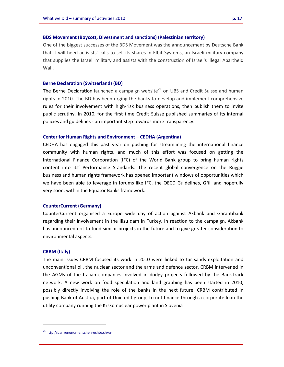#### **BDS Movement (Boycott, Divestment and sanctions) (Palestinian territory)**

One of the biggest successes of the BDS Movement was the announcement by Deutsche Bank that it will heed activists' calls to sell its shares in Elbit Systems, an Israeli military company that supplies the Israeli military and assists with the construction of Israel's illegal Apartheid Wall.

#### **Berne Declaration (Switzerland) (BD)**

The Berne Declaration launched a campaign website<sup>21</sup> on UBS and Credit Suisse and human rights in 2010. The BD has been urging the banks to develop and implement comprehensive rules for their involvement with high-risk business operations, then publish them to invite public scrutiny. In 2010, for the first time Credit Suisse published summaries of its internal policies and guidelines - an important step towards more transparency.

#### **Center for Human Rights and Environment – CEDHA (Argentina)**

CEDHA has engaged this past year on pushing for streamlining the international finance community with human rights, and much of this effort was focused on getting the International Finance Corporation (IFC) of the World Bank group to bring human rights content into its' Performance Standards. The recent global convergence on the Ruggie business and human rights framework has opened important windows of opportunities which we have been able to leverage in forums like IFC, the OECD Guidelines, GRI, and hopefully very soon, within the Equator Banks framework.

#### **CounterCurrent (Germany)**

CounterCurrent organised a Europe wide day of action against Akbank and Garantibank regarding their involvement in the Ilisu dam in Turkey. In reaction to the campaign, Akbank has announced not to fund similar projects in the future and to give greater consideration to environmental aspects.

#### **CRBM (Italy)**

l.

The main issues CRBM focused its work in 2010 were linked to tar sands exploitation and unconventional oil, the nuclear sector and the arms and defence sector. CRBM intervened in the AGMs of the Italian companies involved in dodgy projects followed by the BankTrack network. A new work on food speculation and land grabbing has been started in 2010, possibly directly involving the role of the banks in the next future. CRBM contributed in pushing Bank of Austria, part of Unicredit group, to not finance through a corporate loan the utility company running the Krsko nuclear power plant in Slovenia

<sup>&</sup>lt;sup>21</sup> http://bankenundmenschenrechte.ch/en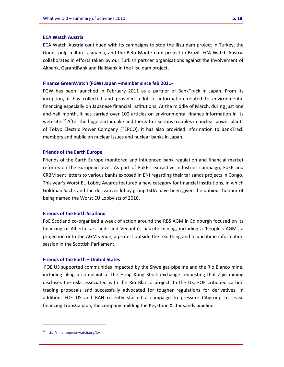#### **ECA Watch Austria**

ECA Watch Austria continued with its campaigns to stop the Ilisu dam project in Turkey, the Gunns pulp mill in Tasmania, and the Belo Monte dam project in Brazil. ECA Watch Austria collaborates in efforts taken by our Turkish partner organisations against the involvement of Akbank, GarantiBank and Halkbank in the Ilisu dam project.

#### **Finance GreenWatch (FGW) Japan –member since feb 2011-**

FGW has been launched in February 2011 as a partner of BankTrack in Japan. From its inception, it has collected and provided a lot of information related to environmental financing especially on Japanese financial institutions. At the middle of March, during just one and half month, it has carried over 100 articles on environmental finance information in its web-site.<sup>22</sup> After the huge earthquake and thereafter serious troubles in nuclear power plants of Tokyo Electric Power Company (TEPCO), it has also provided information to BankTrack members and public on nuclear issues and nuclear banks in Japan.

#### **Friends of the Earth Europe**

Friends of the Earth Europe monitored and influenced bank regulation and financial market reforms on the European level. As part of FoEE's extractive industries campaign, FoEE and CRBM sent letters to various banks exposed in ENI regarding their tar sands projects in Congo. This year's Worst EU Lobby Awards featured a new category for financial institutions, in which Goldman Sachs and the derivatives lobby group ISDA have been given the dubious honour of being named the Worst EU Lobbyists of 2010.

#### **Friends of the Earth Scotland**

FoE Scotland co-organised a week of action around the RBS AGM in Edinburgh focused on its financing of Alberta tars ands and Vedanta's bauxite mining, including a 'People's AGM', a projection onto the AGM venue, a protest outside the real thing and a lunchtime information session in the Scottish Parliament.

#### **Friends of the Earth – United States**

 FOE US supported communities impacted by the Shwe gas pipeline and the Rio Blanco mine, including filing a complaint at the Hong Kong Stock exchange requesting that Zijin mining discloses the risks associated with the Rio Blanco project. In the US, FOE critiqued carbon trading proposals and successfully advocated for tougher regulations for derivatives. In addition, FOE US and RAN recently started a campaign to pressure Citigroup to cease financing TransCanada, the company building the Keystone XL tar sands pipeline.

<sup>22</sup> http://financegreenwatch.org/jp/,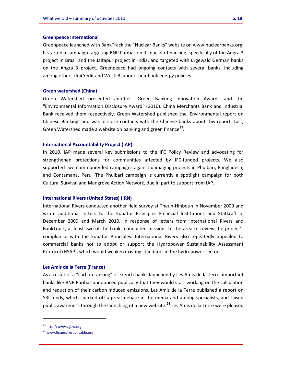#### **Greenpeace International**

Greenpeace launched with BankTrack the "Nuclear Banks" website on www.nuclearbanks.org. It started a campaign targeting BNP Paribas on its nuclear financing, specifically of the Angra 3 project in Brasil and the Jaitapur project in India, and targeted with urgewald German banks on the Angra 3 project. Greenpeace had ongoing contacts with several banks, including among others UniCredit and WestLB, about their bank energy policies.

#### **Green watershed (China)**

Green Watershed presented another "Green Banking Innovation Award" and the "Environmental Information Disclosure Award" (2010). China Merchants Bank and Industrial Bank received them respectively. Green Watershed published the 'Environmental report on Chinese Banking' and was in close contacts with the Chinese banks about this report. Last, Green Watershed made a website on banking and green finance<sup>23</sup>.

#### **International Accountability Project (IAP)**

In 2010, IAP made several key submissions to the IFC Policy Review and advocating for strengthened protections for communities affected by IFC-funded projects. We also supported two community-led campaigns against damaging projects in Phulbari, Bangladesh, and Contamana, Peru. The Phulbari campaign is currently a spotlight campaign for both Cultural Survival and Mangrove Action Network, due in part to support from IAP.

#### **International Rivers (United States) (IRN)**

International Rivers conducted another field survey at Theun-Hinboun in November 2009 and wrote additional letters to the Equator Principles Financial Institutions and Statkraft in December 2009 and March 2010. In response of letters from International Rivers and BankTrack, at least two of the banks conducted missions to the area to review the project's compliance with the Equator Principles. International Rivers also repeatedly appealed to commercial banks not to adopt or support the Hydropower Sustainability Assessment Protocol (HSAP), which would weaken existing standards in the hydropower sector.

#### **Les Amis de la Terre (France)**

As a result of a "carbon ranking" of French banks launched by Les Amis de la Terre, important banks like BNP Paribas announced publically that they would start working on the calculation and reduction of their carbon induced emissions. Les Amis de la Terre published a report on SRI funds, which sparked off a great debate in the media and among specialists, and raised public awareness through the launching of a new website.<sup>24</sup> Les Amis de la Terre were pleased

<sup>23</sup> http://www.cgbw.org

<sup>&</sup>lt;sup>24</sup> www.financeresponsable.org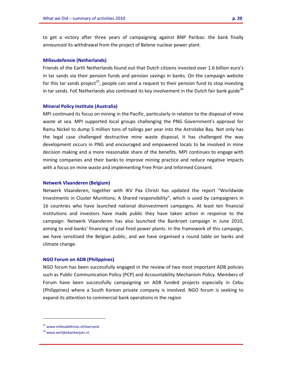to get a victory after three years of campaigning against BNP Paribas: the bank finally announced its withdrawal from the project of Belene nuclear power plant.

#### **Milieudefensie (Netherlands)**

Friends of the Earth Netherlands found out that Dutch citizens invested over 1.6 billion euro's in tar sands via their pension funds and pension savings in banks. On the campaign website for this tar sands project<sup>25</sup>, people can send a request to their pension fund to stop investing in tar sands. FoE Netherlands also continued its key involvement in the Dutch fair bank guide<sup>26</sup>

#### **Mineral Policy Institute (Australia)**

MPI continued its focus on mining in the Pacific, particularly in relation to the disposal of mine waste at sea. MPI supported local groups challenging the PNG Government's approval for Ramu Nickel to dump 5 million tons of tailings per year into the Astrolabe Bay. Not only has the legal case challenged destructive mine waste disposal, it has challenged the way development occurs in PNG and encouraged and empowered locals to be involved in mine decision making and a more reasonable share of the benefits. MPI continues to engage with mining companies and their banks to improve mining practice and reduce negative impacts with a focus on mine waste and implementing Free Prior and Informed Consent.

#### **Netwerk Vlaanderen (Belgium)**

Netwerk Vlaanderen, together with IKV Pax Christi has updated the report "Worldwide Investments in Cluster Munitions; A Shared responsibility", which is used by campaigners in 16 countries who have launched national disinvestment campaigns. At least ten financial institutions and investors have made public they have taken action in response to the campaign. Netwerk Vlaanderen has also launched the Bankroet campaign in June 2010, aiming to end banks' financing of coal fired power plants. In the framework of this campaign, we have sensitised the Belgian public, and we have organised a round table on banks and climate change.

#### **NGO Forum on ADB (Philippines)**

NGO forum has been successfully engaged in the review of two most important ADB policies such as Public Communication Policy (PCP) and Accountability Mechanism Policy. Members of Forum have been successfully campaigning on ADB funded projects especially in Cebu (Philippines) where a South Korean private company is involved. NGO forum is seeking to expand its attention to commercial bank operations in the region

<sup>25</sup> www.milieudefensie.nl/teerzand

<sup>26</sup> www.eerlijkebankwijzer.nl.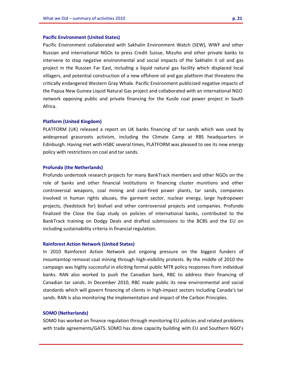#### **Pacific Environment (United States)**

Pacific Environment collaborated with Sakhalin Environment Watch (SEW), WWF and other Russian and international NGOs to press Credit Suisse, Mizuho and other private banks to intervene to stop negative environmental and social impacts of the Sakhalin II oil and gas project in the Russian Far East, including a liquid natural gas facility which displaced local villagers, and potential construction of a new offshore oil and gas platform that threatens the critically endangered Western Gray Whale. Pacific Environment publicized negative impacts of the Papua New Guinea Liquid Natural Gas project and collaborated with an international NGO network opposing public and private financing for the Kusile coal power project in South Africa.

#### **Platform (United Kingdom)**

PLATFORM (UK) released a report on UK banks financing of tar sands which was used by widespread grassroots activism, including the Climate Camp at RBS headquarters in Edinburgh. Having met with HSBC several times, PLATFORM was pleased to see its new energy policy with restrictions on coal and tar sands.

#### **Profundo (the Netherlands)**

Profundo undertook research projects for many BankTrack members and other NGOs on the role of banks and other financial institutions in financing cluster munitions and other controversial weapons, coal mining and coal-fired power plants, tar sands, companies involved in human rights abuses, the garment sector, nuclear energy, large hydropower projects, (feedstock for) biofuel and other controversial projects and companies. Profundo finalized the Close the Gap study on policies of international banks, contributed to the BankTrack training on Dodgy Deals and drafted submissions to the BCBS and the EU on including sustainability criteria in financial regulation.

#### **Rainforest Action Network (United States)**

In 2010 Rainforest Action Network put ongoing pressure on the biggest funders of mountaintop removal coal mining through high-visibility protests. By the middle of 2010 the campaign was highly successful in eliciting formal public MTR policy responses from individual banks. RAN also worked to push the Canadian bank, RBC to address their financing of Canadian tar sands. In December 2010, RBC made public its new environmental and social standards which will govern financing of clients in high-impact sectors including Canada's tar sands. RAN is also monitoring the implementation and impact of the Carbon Principles.

#### **SOMO (Netherlands)**

SOMO has worked on finance regulation through monitoring EU policies and related problems with trade agreements/GATS. SOMO has done capacity building with EU and Southern NGO's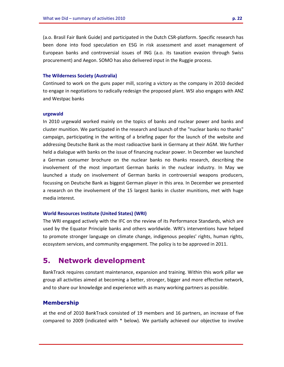(a.o. Brasil Fair Bank Guide) and participated in the Dutch CSR-platform. Specific research has been done into food speculation en ESG in risk assessment and asset management of European banks and controversial issues of ING (a.o. its taxation evasion through Swiss procurement) and Aegon. SOMO has also delivered input in the Ruggie process.

#### **The Wilderness Society (Australia)**

Continued to work on the guns paper mill, scoring a victory as the company in 2010 decided to engage in negotiations to radically redesign the proposed plant. WSI also engages with ANZ and Westpac banks

#### **urgewald**

In 2010 urgewald worked mainly on the topics of banks and nuclear power and banks and cluster munition. We participated in the research and launch of the "nuclear banks no thanks" campaign, participating in the writing of a briefing paper for the launch of the website and addressing Deutsche Bank as the most radioactive bank in Germany at their AGM. We further held a dialogue with banks on the issue of financing nuclear power. In December we launched a German consumer brochure on the nuclear banks no thanks research, describing the involvement of the most important German banks in the nuclear industry. In May we launched a study on involvement of German banks in controversial weapons producers, focussing on Deutsche Bank as biggest German player in this area. In December we presented a research on the involvement of the 15 largest banks in cluster munitions, met with huge media interest.

#### **World Resources Institute (United States) (WRI)**

The WRI engaged actively with the IFC on the review of its Performance Standards, which are used by the Equator Principle banks and others worldwide. WRI's interventions have helped to promote stronger language on climate change, indigenous peoples' rights, human rights, ecosystem services, and community engagement. The policy is to be approved in 2011.

# **5. Network development**

BankTrack requires constant maintenance, expansion and training. Within this work pillar we group all activities aimed at becoming a better, stronger, bigger and more effective network, and to share our knowledge and experience with as many working partners as possible.

#### **Membership**

at the end of 2010 BankTrack consisted of 19 members and 16 partners, an increase of five compared to 2009 (indicated with \* below). We partially achieved our objective to involve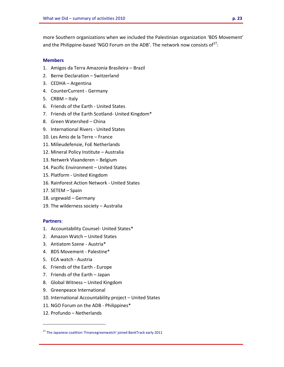more Southern organizations when we included the Palestinian organization 'BDS Movement' and the Philippine-based 'NGO Forum on the ADB'. The network now consists of<sup>27</sup>:

#### **Members**

- 1. Amigos da Terra Amazonia Brasileira Brazil
- 2. Berne Declaration Switzerland
- 3. CEDHA Argentina
- 4. CounterCurrent Germany
- 5. CRBM Italy
- 6. Friends of the Earth United States
- 7. Friends of the Earth Scotland- United Kingdom\*
- 8. Green Watershed China
- 9. International Rivers United States
- 10. Les Amis de la Terre France
- 11. Milieudefensie, FoE Netherlands
- 12. Mineral Policy Institute Australia
- 13. Netwerk Vlaanderen Belgium
- 14. Pacific Environment United States
- 15. Platform United Kingdom
- 16. Rainforest Action Network United States
- 17. SETEM Spain
- 18. urgewald Germany
- 19. The wilderness society Australia

#### **Partners**:

- 1. Accountability Counsel- United States\*
- 2. Amazon Watch United States
- 3. Antiatom Szene Austria\*
- 4. BDS Movement Palestine\*
- 5. ECA watch Austria
- 6. Friends of the Earth Europe
- 7. Friends of the Earth Japan
- 8. Global Witness United Kingdom
- 9. Greenpeace International
- 10. International Accountability project United States
- 11. NGO Forum on the ADB Philippines\*
- 12. Profundo Netherlands

 $27$  The Japanese coalition 'Financegreenwatch' joined BankTrack early 2011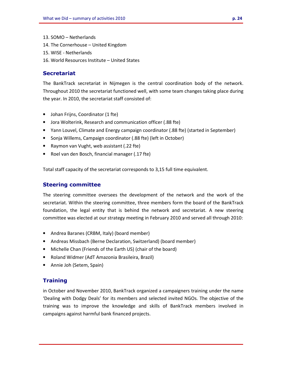- 13. SOMO Netherlands
- 14. The Cornerhouse United Kingdom
- 15. WISE Netherlands
- 16. World Resources Institute United States

## **Secretariat**

The BankTrack secretariat in Nijmegen is the central coordination body of the network. Throughout 2010 the secretariat functioned well, with some team changes taking place during the year. In 2010, the secretariat staff consisted of:

- Johan Frijns, Coordinator (1 fte)
- Jora Wolterink, Research and communication officer (.88 fte)
- Yann Louvel, Climate and Energy campaign coordinator (.88 fte) (started in September)
- Sonja Willems, Campaign coordinator (.88 fte) (left in October)
- Raymon van Vught, web assistant (.22 fte)
- Roel van den Bosch, financial manager (.17 fte)

Total staff capacity of the secretariat corresponds to 3,15 full time equivalent.

# **Steering committee**

The steering committee oversees the development of the network and the work of the secretariat. Within the steering committee, three members form the board of the BankTrack foundation, the legal entity that is behind the network and secretariat. A new steering committee was elected at our strategy meeting in February 2010 and served all through 2010:

- Andrea Baranes (CRBM, Italy) (board member)
- Andreas Missbach (Berne Declaration, Switzerland) (board member)
- Michelle Chan (Friends of the Earth US) (chair of the board)
- Roland Widmer (AdT Amazonia Brasileira, Brazil)
- Annie Joh (Setem, Spain)

# **Training**

in October and November 2010, BankTrack organized a campaigners training under the name 'Dealing with Dodgy Deals' for its members and selected invited NGOs. The objective of the training was to improve the knowledge and skills of BankTrack members involved in campaigns against harmful bank financed projects.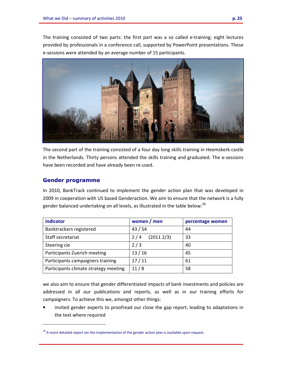The training consisted of two parts: the first part was a so called e-training; eight lectures provided by professionals in a conference call, supported by PowerPoint presentations. These e-sessions were attended by an average number of 15 participants.



The second part of the training consisted of a four day long skills training in Heemskerk castle in the Netherlands. Thirty persons attended the skills training and graduated. The e-sessions have been recorded and have already been re-used.

## **Gender programme**

l.

In 2010, BankTrack continued to implement the gender action plan that was developed in 2009 in cooperation with US based Genderaction. We aim to ensure that the network is a fully gender balanced undertaking on all levels, as illustrated in the table below:<sup>28</sup>

| indicator                             | women / men      | percentage women |
|---------------------------------------|------------------|------------------|
| Banktrackers registered               | 43/54            | 44               |
| Staff secretariat                     | (20112/3)<br>2/4 | 33               |
| Steering cie                          | 2/3              | 40               |
| Participants Zuerich meeting          | 13/16            | 45               |
| Participants campaigners training     | 17/11            | 61               |
| Participants climate strategy meeting | 11/8             | 58               |

we also aim to ensure that gender differentiated impacts of bank investments and policies are addressed in all our publications and reports, as well as in our training efforts for campaigners. To achieve this we, amongst other things:

• invited gender experts to proofread our close the gap report, leading to adaptations in the text where required

 $^{28}$  A more detailed report ion the implementation of the gender action plan is available upon request.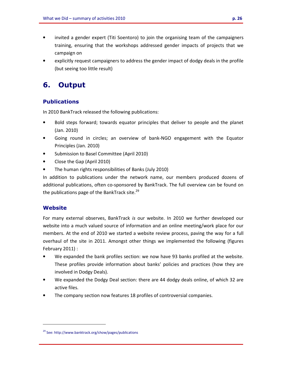- invited a gender expert (Titi Soentoro) to join the organising team of the campaigners training, ensuring that the workshops addressed gender impacts of projects that we campaign on
- explicitly request campaigners to address the gender impact of dodgy deals in the profile (but seeing too little result)

# **6. Output**

# **Publications**

In 2010 BankTrack released the following publications:

- Bold steps forward; towards equator principles that deliver to people and the planet (Jan. 2010)
- Going round in circles; an overview of bank-NGO engagement with the Equator Principles (Jan. 2010)
- Submission to Basel Committee (April 2010)
- Close the Gap (April 2010)
- The human rights responsibilities of Banks (July 2010)

In addition to publications under the network name, our members produced dozens of additional publications, often co-sponsored by BankTrack. The full overview can be found on the publications page of the BankTrack site. $^{29}$ 

# **Website**

l.

For many external observes, BankTrack *is* our website. In 2010 we further developed our website into a much valued source of information and an online meeting/work place for our members. At the end of 2010 we started a website review process, paving the way for a full overhaul of the site in 2011. Amongst other things we implemented the following (figures February 2011) :

- We expanded the bank profiles section: we now have 93 banks profiled at the website. These profiles provide information about banks' policies and practices (how they are involved in Dodgy Deals).
- We expanded the Dodgy Deal section: there are 44 dodgy deals online, of which 32 are active files.
- The company section now features 18 profiles of controversial companies.

<sup>&</sup>lt;sup>29</sup> See: http://www.banktrack.org/show/pages/publications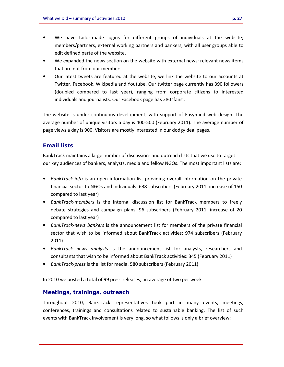- We have tailor-made logins for different groups of individuals at the website; members/partners, external working partners and bankers, with all user groups able to edit defined parte of the website.
- We expanded the news section on the website with external news; relevant news items that are not from our members.
- Our latest tweets are featured at the website, we link the website to our accounts at Twitter, Facebook, Wikipedia and Youtube. Our twitter page currently has 390 followers (doubled compared to last year), ranging from corporate citizens to interested individuals and journalists. Our Facebook page has 280 'fans'.

The website is under continuous development, with support of Easymind web design. The average number of unique visitors a day is 400-500 (February 2011). The average number of page views a day is 900. Visitors are mostly interested in our dodgy deal pages.

# **Email lists**

BankTrack maintains a large number of discussion- and outreach lists that we use to target our key audiences of bankers, analysts, media and fellow NGOs. The most important lists are:

- *BankTrack-info* is an open information list providing overall information on the private financial sector to NGOs and individuals: 638 subscribers (February 2011, increase of 150 compared to last year)
- *BankTrack-members* is the internal discussion list for BankTrack members to freely debate strategies and campaign plans. 96 subscribers (February 2011, increase of 20 compared to last year)
- *BankTrack-news bankers* is the announcement list for members of the private financial sector that wish to be informed about BankTrack activities: 974 subscribers (February 2011)
- *BankTrack news analysts* is the announcement list for analysts, researchers and consultants that wish to be informed about BankTrack activities: 345 (February 2011)
- *BankTrack-press* is the list for media. 580 subscribers (February 2011)

In 2010 we posted a total of 99 press releases, an average of two per week

## **Meetings, trainings, outreach**

Throughout 2010, BankTrack representatives took part in many events, meetings, conferences, trainings and consultations related to sustainable banking. The list of such events with BankTrack involvement is very long, so what follows is only a brief overview: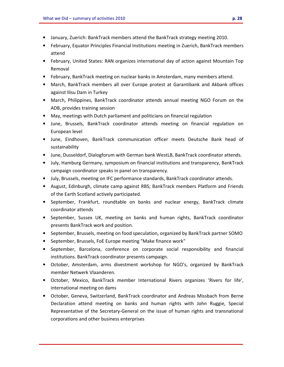- January, Zuerich: BankTrack members attend the BankTrack strategy meeting 2010.
- February, Equator Principles Financial Institutions meeting in Zuerich, BankTrack members attend
- February, United States: RAN organizes international day of action against Mountain Top Removal
- February, BankTrack meeting on nuclear banks in Amsterdam, many members attend.
- March, BankTrack members all over Europe protest at Garantibank and Akbank offices against Ilisu Dam in Turkey
- March, Philippines, BankTrack coordinator attends annual meeting NGO Forum on the ADB, provides training session
- May, meetings with Dutch parliament and politicians on financial regulation
- June, Brussels, BankTrack coordinator attends meeting on financial regulation on European level
- June, Eindhoven, BankTrack communication officer meets Deutsche Bank head of sustainability
- June, Dusseldorf, Dialogforum with German bank WestLB, BankTrack coordinator attends.
- July, Hamburg Germany, symposium on financial institutions and transparency, BankTrack campaign coordinator speaks in panel on transparency.
- July, Brussels, meeting on IFC performance standards, BankTrack coordinator attends.
- August, Edinburgh, climate camp against RBS; BankTrack members Platform and Friends of the Earth Scotland actively participated.
- September, Frankfurt, roundtable on banks and nuclear energy, BankTrack climate coordinator attends
- September, Sussex UK, meeting on banks and human rights, BankTrack coordinator presents BankTrack work and position.
- September, Brussels, meeting on food speculation, organized by BankTrack partner SOMO
- September, Brussels, FoE Europe meeting "Make finance work"
- September, Barcelona, conference on corporate social responsibility and financial institutions. BankTrack coordinator presents campaign.
- October, Amsterdam, arms divestment workshop for NGO's, organized by BankTrack member Netwerk Vlaanderen.
- October, Mexico, BankTrack member International Rivers organizes 'Rivers for life', international meeting on dams
- October, Geneva, Switzerland, BankTrack coordinator and Andreas Missbach from Berne Declaration attend meeting on banks and human rights with John Ruggie, Special Representative of the Secretary-General on the issue of human rights and transnational corporations and other business enterprises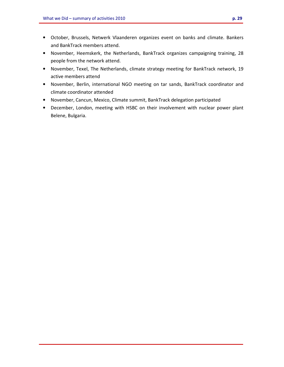- October, Brussels, Netwerk Vlaanderen organizes event on banks and climate. Bankers and BankTrack members attend.
- November, Heemskerk, the Netherlands, BankTrack organizes campaigning training, 28 people from the network attend.
- November, Texel, The Netherlands, climate strategy meeting for BankTrack network, 19 active members attend
- November, Berlin, international NGO meeting on tar sands, BankTrack coordinator and climate coordinator attended
- November, Cancun, Mexico, Climate summit, BankTrack delegation participated
- December, London, meeting with HSBC on their involvement with nuclear power plant Belene, Bulgaria.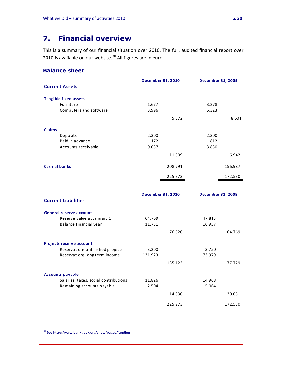# **7. Financial overview**

This is a summary of our financial situation over 2010. The full, audited financial report over 2010 is available on our website.<sup>30</sup> All figures are in euro.

# **Balance sheet**

|               |                                                                     | <b>December 31, 2010</b> |         | <b>December 31, 2009</b> |         |
|---------------|---------------------------------------------------------------------|--------------------------|---------|--------------------------|---------|
|               | <b>Current Assets</b>                                               |                          |         |                          |         |
|               |                                                                     |                          |         |                          |         |
|               | <b>Tangible fixed assets</b>                                        |                          |         |                          |         |
|               | Furniture<br>Computers and software                                 | 1.677<br>3.996           |         | 3.278<br>5.323           |         |
|               |                                                                     |                          |         |                          |         |
|               |                                                                     |                          | 5.672   |                          | 8.601   |
| <b>Claims</b> |                                                                     |                          |         |                          |         |
|               | Deposits                                                            | 2.300                    |         | 2.300                    |         |
|               | Paid in advance                                                     | 172                      |         | 812                      |         |
|               | Accounts receivable                                                 | 9.037                    |         | 3.830                    |         |
|               |                                                                     |                          | 11.509  |                          | 6.942   |
|               |                                                                     |                          |         |                          |         |
| Cash at banks |                                                                     |                          | 208.791 |                          | 156.987 |
|               |                                                                     |                          | 225.973 |                          | 172.530 |
|               |                                                                     |                          |         |                          |         |
|               |                                                                     |                          |         |                          |         |
|               | <b>Current Liabilities</b>                                          | December 31, 2010        |         | December 31, 2009        |         |
|               |                                                                     |                          |         |                          |         |
|               | <b>General reserve account</b>                                      |                          |         |                          |         |
|               | Reserve value at January 1                                          | 64.769                   |         | 47.813                   |         |
|               | Balance financial year                                              | 11.751                   |         | 16.957                   |         |
|               |                                                                     |                          | 76.520  |                          | 64.769  |
|               |                                                                     |                          |         |                          |         |
|               | Projects reserve account                                            |                          |         |                          |         |
|               | Reservations unfinished projects                                    | 3.200                    |         | 3.750                    |         |
|               | Reservations long term income                                       | 131.923                  |         | 73.979                   |         |
|               |                                                                     |                          | 135.123 |                          | 77.729  |
|               |                                                                     |                          |         |                          |         |
|               | <b>Accounts payable</b>                                             |                          |         |                          |         |
|               | Salaries, taxes, social contributions<br>Remaining accounts payable | 11.826<br>2.504          |         | 14.968<br>15.064         |         |
|               |                                                                     |                          |         |                          |         |
|               |                                                                     |                          | 14.330  |                          | 30.031  |
|               |                                                                     |                          | 225.973 |                          | 172.530 |

<sup>30</sup> See http://www.banktrack.org/show/pages/funding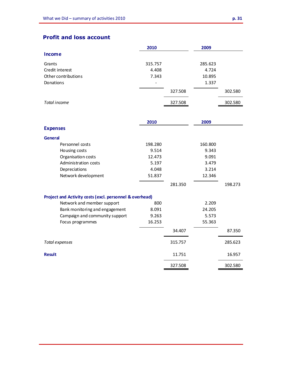# **Profit and loss account**

|                     | 2010    | 2009    |         |
|---------------------|---------|---------|---------|
| Income              |         |         |         |
| Grants              | 315.757 | 285.623 |         |
| Credit interest     | 4.408   | 4.724   |         |
| Other contributions | 7.343   | 10.895  |         |
| Donations           | -       | 1.337   |         |
|                     | 327.508 |         | 302.580 |
| Total income        | 327.508 |         | 302.580 |

|                                                         | 2010    |         | 2009    |         |
|---------------------------------------------------------|---------|---------|---------|---------|
| <b>Expenses</b>                                         |         |         |         |         |
| <b>General</b>                                          |         |         |         |         |
| Personnel costs                                         | 198.280 |         | 160.800 |         |
| Housing costs                                           | 9.514   |         | 9.343   |         |
| Organisation costs                                      | 12.473  |         | 9.091   |         |
| Administration costs                                    | 5.197   |         | 3.479   |         |
| Depreciations                                           | 4.048   |         | 3.214   |         |
| Network development                                     | 51.837  |         | 12.346  |         |
|                                                         |         | 281.350 |         | 198.273 |
| Project and Activity costs (excl. personnel & overhead) |         |         |         |         |
| Network and member support                              | 800     |         | 2.209   |         |
| Bank monitoring and engagement                          | 8.091   |         | 24.205  |         |
| Campaign and community support                          | 9.263   |         | 5.573   |         |
| Focus programmes                                        | 16.253  |         | 55.363  |         |
|                                                         |         | 34.407  |         | 87.350  |
| Total expenses                                          |         | 315.757 |         | 285.623 |
| <b>Result</b>                                           |         | 11.751  |         | 16.957  |
|                                                         |         | 327.508 |         | 302.580 |